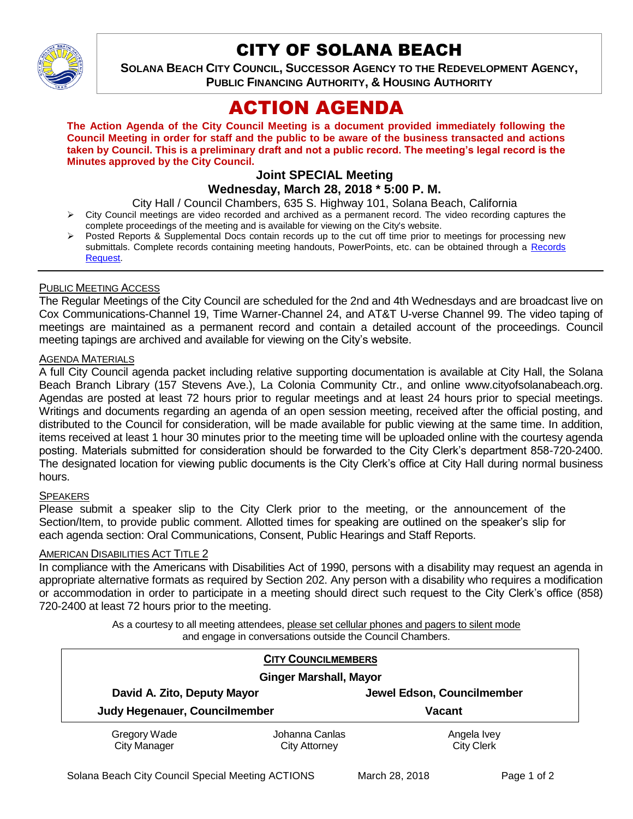

# CITY OF SOLANA BEACH

**SOLANA BEACH CITY COUNCIL, SUCCESSOR AGENCY TO THE REDEVELOPMENT AGENCY, PUBLIC FINANCING AUTHORITY, & HOUSING AUTHORITY** 

# ACTION AGENDA

**The Action Agenda of the City Council Meeting is a document provided immediately following the Council Meeting in order for staff and the public to be aware of the business transacted and actions taken by Council. This is a preliminary draft and not a public record. The meeting's legal record is the Minutes approved by the City Council.**

# **Joint SPECIAL Meeting**

# **Wednesday, March 28, 2018 \* 5:00 P. M.**

City Hall / Council Chambers, 635 S. Highway 101, Solana Beach, California

- > City Council meetings are video recorded and archived as a permanent record. The video recording captures the complete proceedings of the meeting and is available for viewing on the City's website.
- Posted Reports & Supplemental Docs contain records up to the cut off time prior to meetings for processing new submittals. Complete records containing meeting handouts, PowerPoints, etc. can be obtained through a [Records](http://www.ci.solana-beach.ca.us/index.asp?SEC=F5D45D10-70CE-4291-A27C-7BD633FC6742&Type=B_BASIC)  [Request.](http://www.ci.solana-beach.ca.us/index.asp?SEC=F5D45D10-70CE-4291-A27C-7BD633FC6742&Type=B_BASIC)

## PUBLIC MEETING ACCESS

The Regular Meetings of the City Council are scheduled for the 2nd and 4th Wednesdays and are broadcast live on Cox Communications-Channel 19, Time Warner-Channel 24, and AT&T U-verse Channel 99. The video taping of meetings are maintained as a permanent record and contain a detailed account of the proceedings. Council meeting tapings are archived and available for viewing on the City's website.

## AGENDA MATERIALS

A full City Council agenda packet including relative supporting documentation is available at City Hall, the Solana Beach Branch Library (157 Stevens Ave.), La Colonia Community Ctr., and online www.cityofsolanabeach.org. Agendas are posted at least 72 hours prior to regular meetings and at least 24 hours prior to special meetings. Writings and documents regarding an agenda of an open session meeting, received after the official posting, and distributed to the Council for consideration, will be made available for public viewing at the same time. In addition, items received at least 1 hour 30 minutes prior to the meeting time will be uploaded online with the courtesy agenda posting. Materials submitted for consideration should be forwarded to the City Clerk's department 858-720-2400. The designated location for viewing public documents is the City Clerk's office at City Hall during normal business hours.

## SPEAKERS

Please submit a speaker slip to the City Clerk prior to the meeting, or the announcement of the Section/Item, to provide public comment. Allotted times for speaking are outlined on the speaker's slip for each agenda section: Oral Communications, Consent, Public Hearings and Staff Reports.

#### AMERICAN DISABILITIES ACT TITLE 2

In compliance with the Americans with Disabilities Act of 1990, persons with a disability may request an agenda in appropriate alternative formats as required by Section 202. Any person with a disability who requires a modification or accommodation in order to participate in a meeting should direct such request to the City Clerk's office (858) 720-2400 at least 72 hours prior to the meeting.

> As a courtesy to all meeting attendees, please set cellular phones and pagers to silent mode and engage in conversations outside the Council Chambers.

|                                                              | <b>CITY COUNCILMEMBERS</b> |                            |  |
|--------------------------------------------------------------|----------------------------|----------------------------|--|
| <b>Ginger Marshall, Mayor</b>                                |                            |                            |  |
| David A. Zito, Deputy Mayor<br>Judy Hegenauer, Councilmember |                            | Jewel Edson, Councilmember |  |
|                                                              |                            | <b>Vacant</b>              |  |
| Gregory Wade                                                 | Johanna Canlas             | Angela Ivey                |  |
| <b>City Manager</b>                                          | City Attorney              | <b>City Clerk</b>          |  |